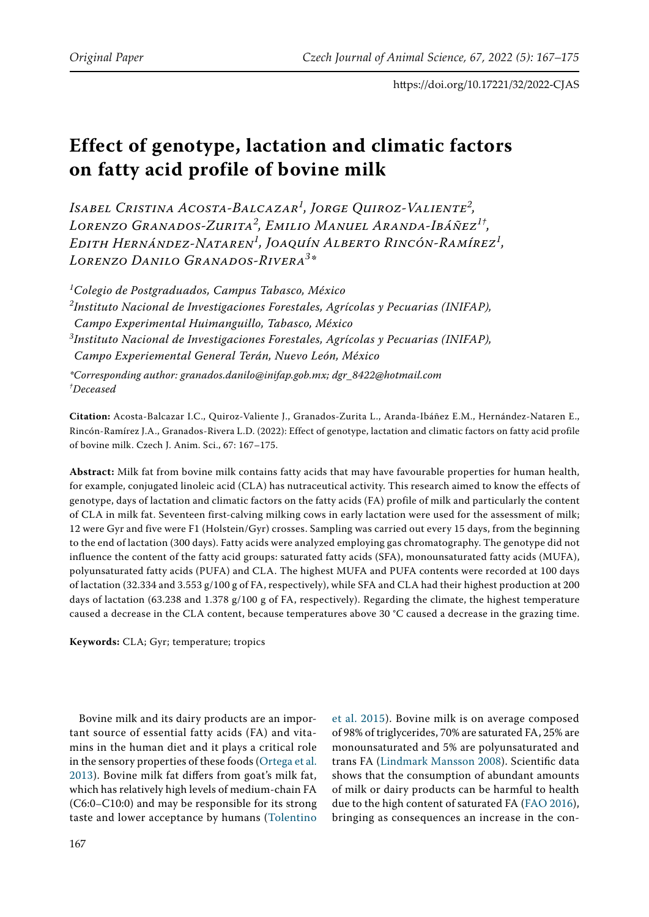# **Effect of genotype, lactation and climatic factors on fatty acid profile of bovine milk**

*Isabel Cristina Acosta-Balcazar<sup>1</sup> , Jorge Quiroz-Valiente<sup>2</sup> , Lorenzo Granados-Zurita<sup>2</sup> , Emilio Manuel Aranda-Ibáñez1† , Edith Hernández-Nataren<sup>1</sup> , Joaquín Alberto Rincón-Ramírez<sup>1</sup> , Lorenzo Danilo Granados-Rivera<sup>3</sup> \**

*1 Colegio de Postgraduados, Campus Tabasco, México 2 Instituto Nacional de Investigaciones Forestales, Agrícolas y Pecuarias (INIFAP), Campo Experimental Huimanguillo, Tabasco, México 3 Instituto Nacional de Investigaciones Forestales, Agrícolas y Pecuarias (INIFAP), Campo Experiemental General Terán, Nuevo León, México*

*\*Corresponding author: granados.danilo@inifap.gob.mx; dgr\_8422@hotmail.com † Deceased*

**Citation:** Acosta-Balcazar I.C., Quiroz-Valiente J., Granados-Zurita L., Aranda-Ibáñez E.M., Hernández-Nataren E., Rincón-Ramírez J.A., Granados-Rivera L.D. (2022): Effect of genotype, lactation and climatic factors on fatty acid profile of bovine milk. Czech J. Anim. Sci., 67: 167–175.

**Abstract:** Milk fat from bovine milk contains fatty acids that may have favourable properties for human health, for example, conjugated linoleic acid (CLA) has nutraceutical activity. This research aimed to know the effects of genotype, days of lactation and climatic factors on the fatty acids (FA) profile of milk and particularly the content of CLA in milk fat. Seventeen first-calving milking cows in early lactation were used for the assessment of milk; 12 were Gyr and five were F1 (Holstein/Gyr) crosses. Sampling was carried out every 15 days, from the beginning to the end of lactation (300 days). Fatty acids were analyzed employing gas chromatography. The genotype did not influence the content of the fatty acid groups: saturated fatty acids (SFA), monounsaturated fatty acids (MUFA), polyunsaturated fatty acids (PUFA) and CLA. The highest MUFA and PUFA contents were recorded at 100 days of lactation (32.334 and 3.553 g/100 g of FA, respectively), while SFA and CLA had their highest production at 200 days of lactation (63.238 and 1.378 g/100 g of FA, respectively). Regarding the climate, the highest temperature caused a decrease in the CLA content, because temperatures above 30 °C caused a decrease in the grazing time.

**Keywords:** CLA; Gyr; temperature; tropics

Bovine milk and its dairy products are an important source of essential fatty acids (FA) and vitamins in the human diet and it plays a critical role in the sensory properties of these foods ([Ortega et al.](#page-7-2)  [2013](#page-7-2)). Bovine milk fat differs from goat's milk fat, which has relatively high levels of medium-chain FA (C6:0–C10:0) and may be responsible for its strong taste and lower acceptance by humans ([Tolentino](#page-8-0) 

[et al. 2015\)](#page-8-0). Bovine milk is on average composed of 98% of triglycerides, 70% are saturated FA, 25% are monounsaturated and 5% are polyunsaturated and trans FA ([Lindmark Mansson 2008\)](#page-7-0). Scientific data shows that the consumption of abundant amounts of milk or dairy products can be harmful to health due to the high content of saturated FA [\(FAO 2016\)](#page-7-1), bringing as consequences an increase in the con-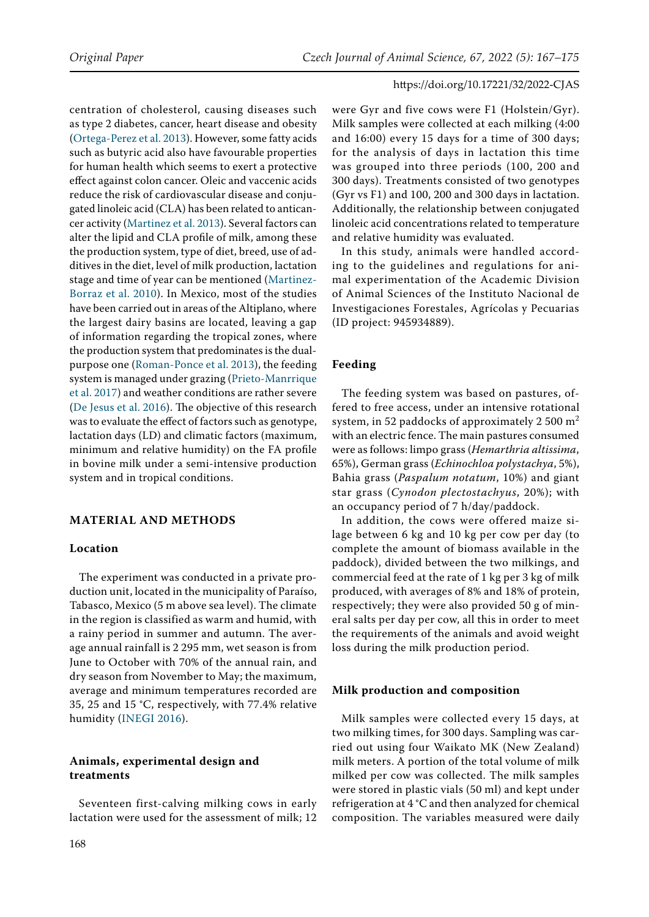centration of cholesterol, causing diseases such as type 2 diabetes, cancer, heart disease and obesity [\(Ortega-Perez et al. 2013\)](#page-7-2). However, some fatty acids such as butyric acid also have favourable properties for human health which seems to exert a protective effect against colon cancer. Oleic and vaccenic acids reduce the risk of cardiovascular disease and conjugated linoleic acid (CLA) has been related to anticancer activity ([Martinez et al. 2013\)](#page-7-3). Several factors can alter the lipid and CLA profile of milk, among these the production system, type of diet, breed, use of additives in the diet, level of milk production, lactation stage and time of year can be mentioned ([Martinez-](#page-7-4)[Borraz et al. 2010\)](#page-7-4). In Mexico, most of the studies have been carried out in areas of the Altiplano, where the largest dairy basins are located, leaving a gap of information regarding the tropical zones, where the production system that predominates is the dualpurpose one [\(Roman-Ponce et al. 2013](#page-8-1)), the feeding system is managed under grazing [\(Prieto-Manrrique](#page-7-5)  [et al. 2017\)](#page-7-5) and weather conditions are rather severe [\(De Jesus et al. 2016](#page-7-6)). The objective of this research was to evaluate the effect of factors such as genotype, lactation days (LD) and climatic factors (maximum, minimum and relative humidity) on the FA profile in bovine milk under a semi-intensive production system and in tropical conditions.

## **MATERIAL AND METHODS**

#### **Location**

The experiment was conducted in a private production unit, located in the municipality of Paraíso, Tabasco, Mexico (5 m above sea level). The climate in the region is classified as warm and humid, with a rainy period in summer and autumn. The average annual rainfall is 2 295 mm, wet season is from June to October with 70% of the annual rain, and dry season from November to May; the maximum, average and minimum temperatures recorded are 35, 25 and 15 °C, respectively, with 77.4% relative humidity ([INEGI 2016\)](#page-7-7).

## **Animals, experimental design and treatments**

Seventeen first-calving milking cows in early lactation were used for the assessment of milk; 12

were Gyr and five cows were F1 (Holstein/Gyr). Milk samples were collected at each milking (4:00 and 16:00) every 15 days for a time of 300 days; for the analysis of days in lactation this time was grouped into three periods (100, 200 and 300 days). Treatments consisted of two genotypes (Gyr vs F1) and 100, 200 and 300 days in lactation. Additionally, the relationship between conjugated linoleic acid concentrations related to temperature and relative humidity was evaluated.

In this study, animals were handled according to the guidelines and regulations for animal experimentation of the Academic Division of Animal Sciences of the Instituto Nacional de Investigaciones Forestales, Agrícolas y Pecuarias (ID project: 945934889).

## **Feeding**

The feeding system was based on pastures, offered to free access, under an intensive rotational system, in 52 paddocks of approximately 2 500  $m<sup>2</sup>$ with an electric fence. The main pastures consumed were as follows: limpo grass (*Hemarthria altissima*, 65%), German grass (*Echinochloa polystachya*, 5%), Bahia grass (*Paspalum notatum*, 10%) and giant star grass (*Cynodon plectostachyus*, 20%); with an occupancy period of 7 h/day/paddock.

In addition, the cows were offered maize silage between 6 kg and 10 kg per cow per day (to complete the amount of biomass available in the paddock), divided between the two milkings, and commercial feed at the rate of 1 kg per 3 kg of milk produced, with averages of 8% and 18% of protein, respectively; they were also provided 50 g of mineral salts per day per cow, all this in order to meet the requirements of the animals and avoid weight loss during the milk production period.

#### **Milk production and composition**

Milk samples were collected every 15 days, at two milking times, for 300 days. Sampling was carried out using four Waikato MK (New Zealand) milk meters. A portion of the total volume of milk milked per cow was collected. The milk samples were stored in plastic vials (50 ml) and kept under refrigeration at 4 °C and then analyzed for chemical composition. The variables measured were daily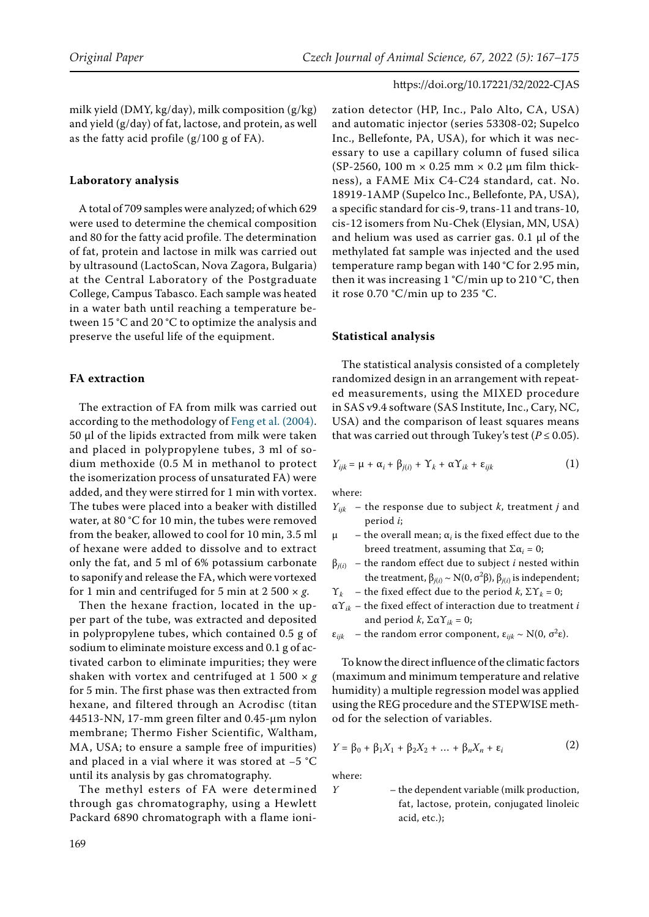milk yield (DMY, kg/day), milk composition (g/kg) and yield (g/day) of fat, lactose, and protein, as well as the fatty acid profile  $(g/100 g of FA)$ .

#### **Laboratory analysis**

A total of 709 samples were analyzed; of which 629 were used to determine the chemical composition and 80 for the fatty acid profile. The determination of fat, protein and lactose in milk was carried out by ultrasound (LactoScan, Nova Zagora, Bulgaria) at the Central Laboratory of the Postgraduate College, Campus Tabasco. Each sample was heated in a water bath until reaching a temperature between 15 °C and 20 °C to optimize the analysis and preserve the useful life of the equipment.

## **FA extraction**

The extraction of FA from milk was carried out according to the methodology of [Feng et al. \(2004\)](#page-7-8). 50 µl of the lipids extracted from milk were taken and placed in polypropylene tubes, 3 ml of sodium methoxide (0.5 M in methanol to protect the isomerization process of unsaturated FA) were added, and they were stirred for 1 min with vortex. The tubes were placed into a beaker with distilled water, at 80 °C for 10 min, the tubes were removed from the beaker, allowed to cool for 10 min, 3.5 ml of hexane were added to dissolve and to extract only the fat, and 5 ml of 6% potassium carbonate to saponify and release the FA, which were vortexed for 1 min and centrifuged for 5 min at  $2\,500 \times g$ .

Then the hexane fraction, located in the upper part of the tube, was extracted and deposited in polypropylene tubes, which contained 0.5 g of sodium to eliminate moisture excess and 0.1 g of activated carbon to eliminate impurities; they were shaken with vortex and centrifuged at 1 500 × *g* for 5 min. The first phase was then extracted from hexane, and filtered through an Acrodisc (titan 44513-NN, 17-mm green filter and 0.45-µm nylon membrane; Thermo Fisher Scientific, Waltham, MA, USA; to ensure a sample free of impurities) and placed in a vial where it was stored at –5 °C until its analysis by gas chromatography.

The methyl esters of FA were determined through gas chromatography, using a Hewlett Packard 6890 chromatograph with a flame ionization detector (HP, Inc., Palo Alto, CA, USA) and automatic injector (series 53308-02; Supelco Inc., Bellefonte, PA, USA), for which it was necessary to use a capillary column of fused silica (SP-2560, 100 m  $\times$  0.25 mm  $\times$  0.2 µm film thickness), a FAME Mix C4-C24 standard, cat. No. 18919-1AMP (Supelco Inc., Bellefonte, PA, USA), a specific standard for cis-9, trans-11 and trans-10, cis-12 isomers from Nu-Chek (Elysian, MN, USA) and helium was used as carrier gas. 0.1 µl of the methylated fat sample was injected and the used temperature ramp began with 140 °C for 2.95 min, then it was increasing  $1 °C/min$  up to  $210 °C$ , then it rose 0.70 °C/min up to 235 °C.

#### **Statistical analysis**

The statistical analysis consisted of a completely randomized design in an arrangement with repeated measurements, using the MIXED procedure in SAS v9.4 software (SAS Institute, Inc., Cary, NC, USA) and the comparison of least squares means that was carried out through Tukey's test ( $P \le 0.05$ ).

$$
Y_{ijk} = \mu + \alpha_i + \beta_{j(i)} + \Upsilon_k + \alpha \Upsilon_{ik} + \varepsilon_{ijk}
$$
 (1)

where:

- *Yijk* the response due to subject *k*, treatment *j* and period *i*;
- μ the overall mean; α*<sup>i</sup>* is the fixed effect due to the breed treatment, assuming that  $\Sigma \alpha_i = 0$ ;
- $\beta_{i(i)}$  the random effect due to subject *i* nested within the treatment,  $β_{j(i)} \sim N(0, σ^2β)$ ,  $β_{j(i)}$  is independent;
- Υ*<sup>k</sup>* the fixed effect due to the period *k*, ΣΥ*k* = 0;
- $\alpha Y_{ik}$  the fixed effect of interaction due to treatment *i* and period  $k$ ,  $\Sigma \alpha Y_{ik} = 0$ ;
- $\varepsilon_{ijk}$  the random error component,  $\varepsilon_{ijk} \sim N(0, \sigma^2 \varepsilon)$ .

To know the direct influence of the climatic factors (maximum and minimum temperature and relative humidity) a multiple regression model was applied using the REG procedure and the STEPWISE method for the selection of variables.

$$
Y = \beta_0 + \beta_1 X_1 + \beta_2 X_2 + \dots + \beta_n X_n + \varepsilon_i
$$
 (2)

where:

*Y* – the dependent variable (milk production, fat, lactose, protein, conjugated linoleic

acid, etc.);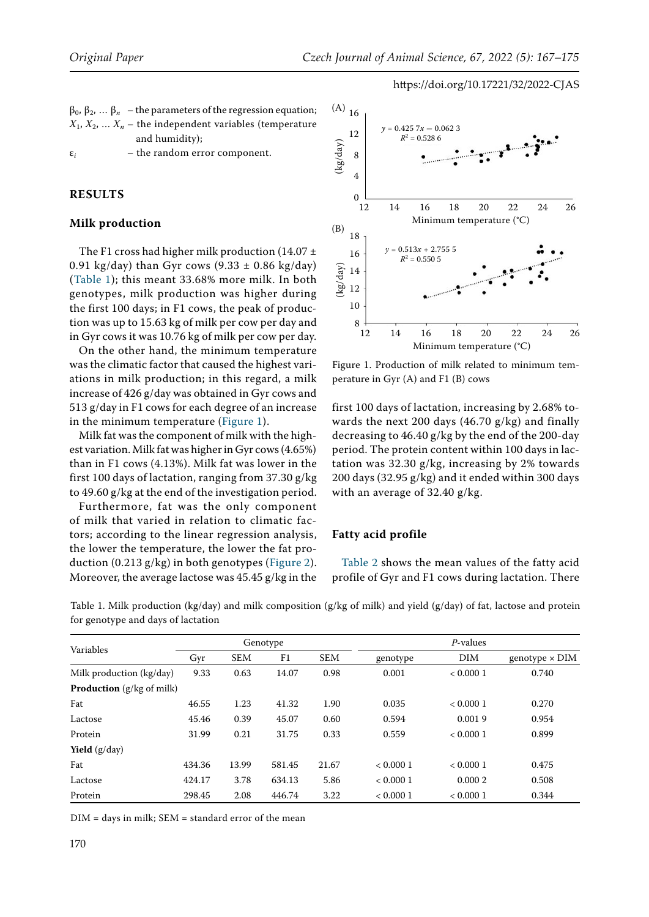| $\beta_0$ , $\beta_2$ , $\beta_n$ – the parameters of the regression equation; |
|--------------------------------------------------------------------------------|
| $X_1, X_2, \ldots X_n$ – the independent variables (temperature                |
| and humidity);                                                                 |
|                                                                                |

 $\varepsilon_i$  – the random error component.

## **RESULTS**

#### **Milk production**

The F1 cross had higher milk production (14.07  $\pm$ 0.91 kg/day) than Gyr cows  $(9.33 \pm 0.86 \text{ kg/day})$ (Table 1); this meant 33.68% more milk. In both genotypes, milk production was higher during the first 100 days; in F1 cows, the peak of production was up to 15.63 kg of milk per cow per day and in Gyr cows it was 10.76 kg of milk per cow per day.

On the other hand, the minimum temperature was the climatic factor that caused the highest variations in milk production; in this regard, a milk increase of 426 g/day was obtained in Gyr cows and 513 g/day in F1 cows for each degree of an increase in the minimum temperature ([Figure 1](#page-3-0)).

Milk fat was the component of milk with the highest variation. Milk fat was higher in Gyr cows (4.65%) than in F1 cows (4.13%). Milk fat was lower in the first 100 days of lactation, ranging from 37.30 g/kg to 49.60 g/kg at the end of the investigation period.

Furthermore, fat was the only component of milk that varied in relation to climatic factors; according to the linear regression analysis, the lower the temperature, the lower the fat production (0.213 g/kg) in both genotypes [\(Figure 2](#page-4-0)). Moreover, the average lactose was 45.45 g/kg in the

<span id="page-3-0"></span>

Figure 1. Production of milk related to minimum temperature in Gyr (A) and F1 (B) cows

first 100 days of lactation, increasing by 2.68% towards the next 200 days (46.70 g/kg) and finally decreasing to 46.40 g/kg by the end of the 200-day period. The protein content within 100 days in lactation was 32.30 g/kg, increasing by 2% towards 200 days (32.95 g/kg) and it ended within 300 days with an average of 32.40 g/kg.

#### **Fatty acid profile**

Table 2 shows the mean values of the fatty acid profile of Gyr and F1 cows during lactation. There

| Variables                        | Genotype |            |        |            | $P$ -values |          |                       |  |
|----------------------------------|----------|------------|--------|------------|-------------|----------|-----------------------|--|
|                                  | Gyr      | <b>SEM</b> | F1     | <b>SEM</b> | genotype    | DIM      | genotype $\times$ DIM |  |
| Milk production (kg/day)         | 9.33     | 0.63       | 14.07  | 0.98       | 0.001       | < 0.0001 | 0.740                 |  |
| <b>Production</b> (g/kg of milk) |          |            |        |            |             |          |                       |  |
| Fat                              | 46.55    | 1.23       | 41.32  | 1.90       | 0.035       | < 0.0001 | 0.270                 |  |
| Lactose                          | 45.46    | 0.39       | 45.07  | 0.60       | 0.594       | 0.0019   | 0.954                 |  |
| Protein                          | 31.99    | 0.21       | 31.75  | 0.33       | 0.559       | < 0.0001 | 0.899                 |  |
| <b>Yield</b> $(g/day)$           |          |            |        |            |             |          |                       |  |
| Fat                              | 434.36   | 13.99      | 581.45 | 21.67      | < 0.0001    | < 0.0001 | 0.475                 |  |
| Lactose                          | 424.17   | 3.78       | 634.13 | 5.86       | < 0.0001    | 0.0002   | 0.508                 |  |
| Protein                          | 298.45   | 2.08       | 446.74 | 3.22       | < 0.0001    | < 0.0001 | 0.344                 |  |

Table 1. Milk production (kg/day) and milk composition (g/kg of milk) and yield (g/day) of fat, lactose and protein for genotype and days of lactation

 $DIM = days$  in milk;  $SEM = standard error$  of the mean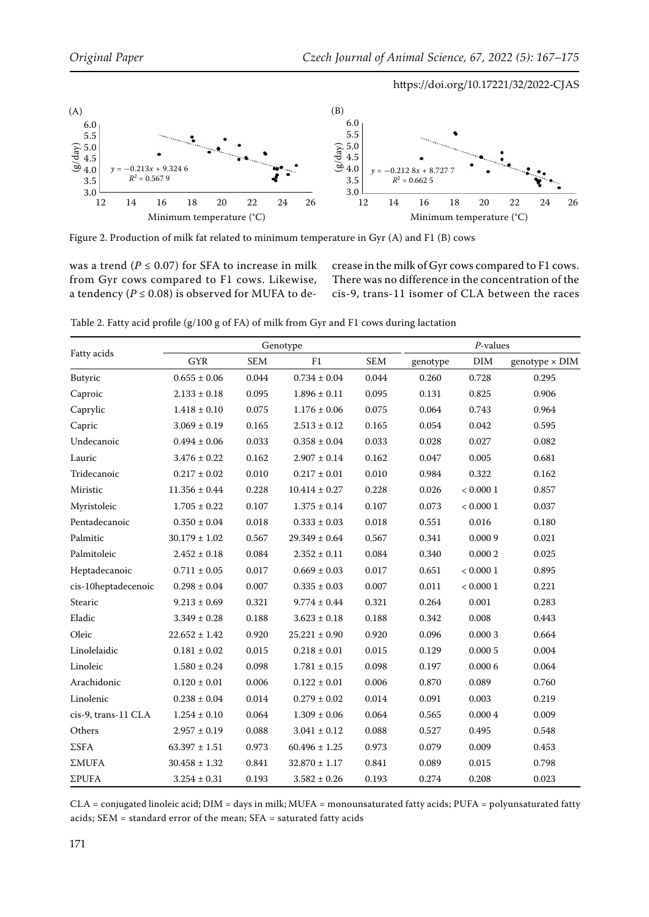<span id="page-4-0"></span>

Figure 2. Production of milk fat related to minimum temperature in Gyr (A) and F1 (B) cows

was a trend ( $P \le 0.07$ ) for SFA to increase in milk from Gyr cows compared to F1 cows. Likewise, a tendency ( $P \le 0.08$ ) is observed for MUFA to decrease in the milk of Gyr cows compared to F1 cows. There was no difference in the concentration of the cis-9, trans-11 isomer of CLA between the races

Table 2. Fatty acid profile (g/100 g of FA) of milk from Gyr and F1 cows during lactation

| Fatty acids         |                   | Genotype   | $P$ -values       |            |          |          |                       |
|---------------------|-------------------|------------|-------------------|------------|----------|----------|-----------------------|
|                     | <b>GYR</b>        | <b>SEM</b> | F1                | <b>SEM</b> | genotype | DIM      | genotype $\times$ DIM |
| Butyric             | $0.655 \pm 0.06$  | 0.044      | $0.734 \pm 0.04$  | 0.044      | 0.260    | 0.728    | 0.295                 |
| Caproic             | $2.133 \pm 0.18$  | 0.095      | $1.896 \pm 0.11$  | 0.095      | 0.131    | 0.825    | 0.906                 |
| Caprylic            | $1.418 \pm 0.10$  | 0.075      | $1.176 \pm 0.06$  | 0.075      | 0.064    | 0.743    | 0.964                 |
| Capric              | $3.069 \pm 0.19$  | 0.165      | $2.513 \pm 0.12$  | 0.165      | 0.054    | 0.042    | 0.595                 |
| Undecanoic          | $0.494 \pm 0.06$  | 0.033      | $0.358 \pm 0.04$  | 0.033      | 0.028    | 0.027    | 0.082                 |
| Lauric              | $3.476 \pm 0.22$  | 0.162      | $2.907 \pm 0.14$  | 0.162      | 0.047    | 0.005    | 0.681                 |
| Tridecanoic         | $0.217 \pm 0.02$  | 0.010      | $0.217 \pm 0.01$  | 0.010      | 0.984    | 0.322    | 0.162                 |
| Miristic            | $11.356 \pm 0.44$ | 0.228      | $10.414 \pm 0.27$ | 0.228      | 0.026    | < 0.0001 | 0.857                 |
| Myristoleic         | $1.705 \pm 0.22$  | 0.107      | $1.375 \pm 0.14$  | 0.107      | 0.073    | < 0.0001 | 0.037                 |
| Pentadecanoic       | $0.350 \pm 0.04$  | 0.018      | $0.333 \pm 0.03$  | 0.018      | 0.551    | 0.016    | 0.180                 |
| Palmitic            | $30.179 \pm 1.02$ | 0.567      | $29.349 \pm 0.64$ | 0.567      | 0.341    | 0.0009   | 0.021                 |
| Palmitoleic         | $2.452 \pm 0.18$  | 0.084      | $2.352 \pm 0.11$  | 0.084      | 0.340    | 0.0002   | 0.025                 |
| Heptadecanoic       | $0.711 \pm 0.05$  | 0.017      | $0.669 \pm 0.03$  | 0.017      | 0.651    | < 0.0001 | 0.895                 |
| cis-10heptadecenoic | $0.298 \pm 0.04$  | 0.007      | $0.335 \pm 0.03$  | 0.007      | 0.011    | < 0.0001 | 0.221                 |
| Stearic             | $9.213 \pm 0.69$  | 0.321      | $9.774 \pm 0.44$  | 0.321      | 0.264    | 0.001    | 0.283                 |
| Eladic              | $3.349 \pm 0.28$  | 0.188      | $3.623 \pm 0.18$  | 0.188      | 0.342    | 0.008    | 0.443                 |
| Oleic               | $22.652 \pm 1.42$ | 0.920      | $25.221 \pm 0.90$ | 0.920      | 0.096    | 0.0003   | 0.664                 |
| Linolelaidic        | $0.181 \pm 0.02$  | 0.015      | $0.218 \pm 0.01$  | 0.015      | 0.129    | 0.0005   | 0.004                 |
| Linoleic            | $1.580 \pm 0.24$  | 0.098      | $1.781 \pm 0.15$  | 0.098      | 0.197    | 0.0006   | 0.064                 |
| Arachidonic         | $0.120 \pm 0.01$  | 0.006      | $0.122 \pm 0.01$  | 0.006      | 0.870    | 0.089    | 0.760                 |
| Linolenic           | $0.238 \pm 0.04$  | 0.014      | $0.279 \pm 0.02$  | 0.014      | 0.091    | 0.003    | 0.219                 |
| cis-9, trans-11 CLA | $1.254 \pm 0.10$  | 0.064      | $1.309 \pm 0.06$  | 0.064      | 0.565    | 0.0004   | 0.009                 |
| Others              | $2.957 \pm 0.19$  | 0.088      | $3.041 \pm 0.12$  | 0.088      | 0.527    | 0.495    | 0.548                 |
| $\Sigma$ SFA        | $63.397 \pm 1.51$ | 0.973      | $60.496 \pm 1.25$ | 0.973      | 0.079    | 0.009    | 0.453                 |
| ΣMUFA               | $30.458 \pm 1.32$ | 0.841      | $32.870 \pm 1.17$ | 0.841      | 0.089    | 0.015    | 0.798                 |
| ΣPUFA               | $3.254 \pm 0.31$  | 0.193      | $3.582 \pm 0.26$  | 0.193      | 0.274    | 0.208    | 0.023                 |

CLA = conjugated linoleic acid; DIM = days in milk; MUFA = monounsaturated fatty acids; PUFA = polyunsaturated fatty acids; SEM = standard error of the mean; SFA = saturated fatty acids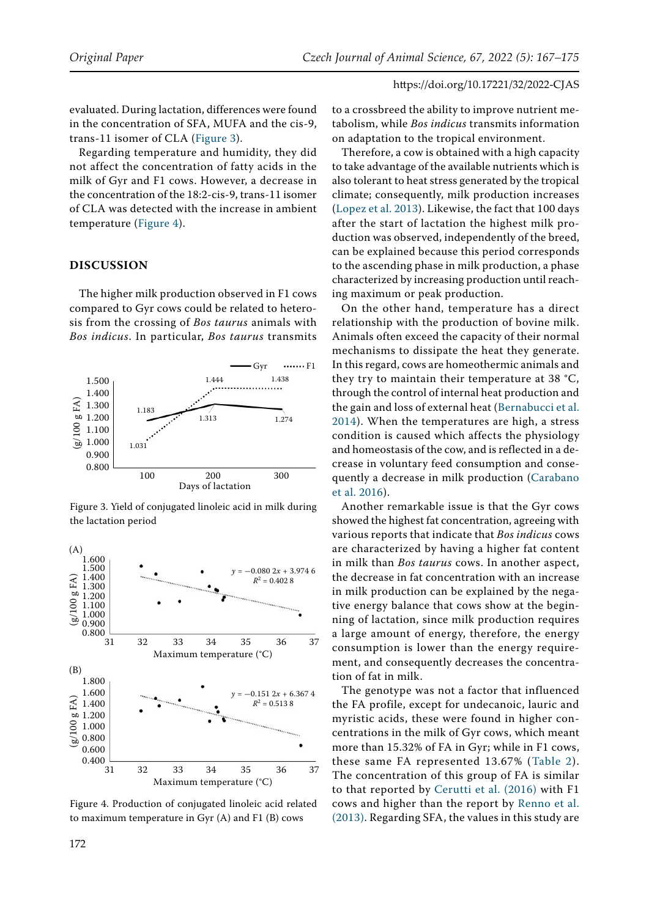evaluated. During lactation, differences were found in the concentration of SFA, MUFA and the cis-9, trans-11 isomer of CLA [\(Figure 3](#page-5-0)).

Regarding temperature and humidity, they did not affect the concentration of fatty acids in the milk of Gyr and F1 cows. However, a decrease in the concentration of the 18:2-cis-9, trans-11 isomer of CLA was detected with the increase in ambient temperature ([Figure 4](#page-5-1)).

## **DISCUSSION**

The higher milk production observed in F1 cows compared to Gyr cows could be related to heterosis from the crossing of *Bos taurus* animals with *Bos indicus*. In particular, *Bos taurus* transmits

<span id="page-5-0"></span>

Figure 3. Yield of conjugated linoleic acid in milk during the lactation period

<span id="page-5-1"></span>

Figure 4. Production of conjugated linoleic acid related to maximum temperature in Gyr (A) and F1 (B) cows

to a crossbreed the ability to improve nutrient metabolism, while *Bos indicus* transmits information on adaptation to the tropical environment.

Therefore, a cow is obtained with a high capacity to take advantage of the available nutrients which is also tolerant to heat stress generated by the tropical climate; consequently, milk production increases [\(Lopez et al. 2013\)](#page-7-9). Likewise, the fact that 100 days after the start of lactation the highest milk production was observed, independently of the breed, can be explained because this period corresponds to the ascending phase in milk production, a phase characterized by increasing production until reaching maximum or peak production.

On the other hand, temperature has a direct relationship with the production of bovine milk. Animals often exceed the capacity of their normal mechanisms to dissipate the heat they generate. In this regard, cows are homeothermic animals and they try to maintain their temperature at 38 °C, through the control of internal heat production and the gain and loss of external heat ([Bernabucci et al.](#page-7-10) [2014](#page-7-10)). When the temperatures are high, a stress condition is caused which affects the physiology and homeostasis of the cow, and is reflected in a decrease in voluntary feed consumption and consequently a decrease in milk production ([Carabano](#page-7-11) [et al. 2016](#page-7-11)).

Another remarkable issue is that the Gyr cows showed the highest fat concentration, agreeing with various reports that indicate that *Bos indicus* cows are characterized by having a higher fat content in milk than *Bos taurus* cows. In another aspect, the decrease in fat concentration with an increase in milk production can be explained by the negative energy balance that cows show at the beginning of lactation, since milk production requires a large amount of energy, therefore, the energy consumption is lower than the energy requirement, and consequently decreases the concentration of fat in milk.

The genotype was not a factor that influenced the FA profile, except for undecanoic, lauric and myristic acids, these were found in higher concentrations in the milk of Gyr cows, which meant more than 15.32% of FA in Gyr; while in F1 cows, these same FA represented 13.67% (Table 2). The concentration of this group of FA is similar to that reported by [Cerutti et al. \(2016\)](#page-7-12) with F1 cows and higher than the report by [Renno et al.](#page-8-2) [\(2013\)](#page-8-2). Regarding SFA, the values in this study are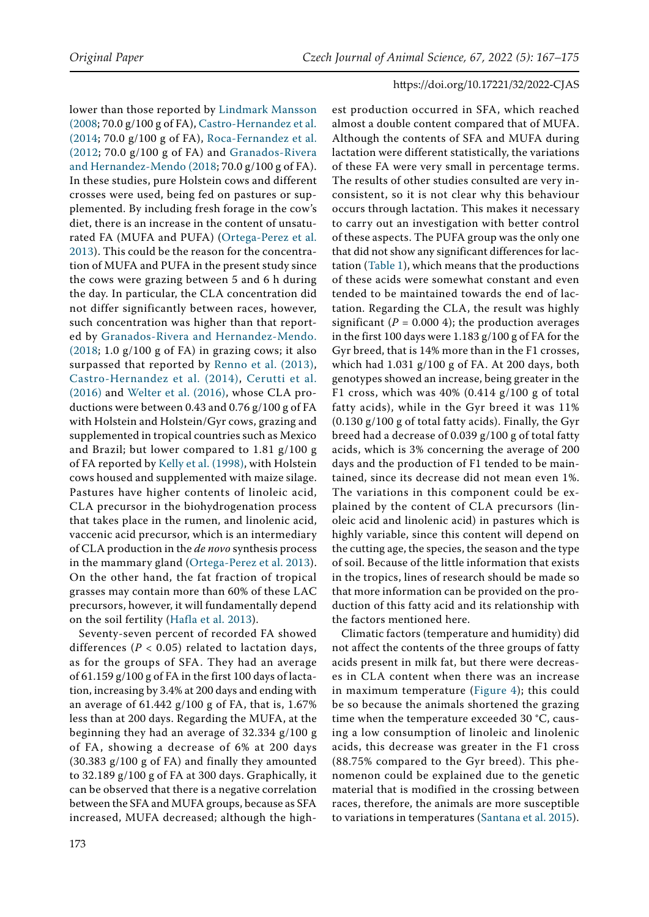lower than those reported by [Lindmark Mansson](#page-7-0)  [\(2008](#page-7-0); 70.0 g/100 g of FA), [Castro-Hernandez et al.](#page-7-13)  [\(2014;](#page-7-13) 70.0 g/100 g of FA), [Roca-Fernandez et al.](#page-8-3)  [\(2012](#page-8-3); 70.0 g/100 g of FA) and [Granados-Rivera](#page-7-14)  [and Hernandez-Mendo \(2018;](#page-7-14) 70.0 g/100 g of FA). In these studies, pure Holstein cows and different crosses were used, being fed on pastures or supplemented. By including fresh forage in the cow's diet, there is an increase in the content of unsaturated FA (MUFA and PUFA) [\(Ortega-Perez et al.](#page-7-2)  [2013](#page-7-2)). This could be the reason for the concentration of MUFA and PUFA in the present study since the cows were grazing between 5 and 6 h during the day. In particular, the CLA concentration did not differ significantly between races, however, such concentration was higher than that reported by [Granados-Rivera and Hernandez-Mendo.](#page-7-14)  [\(2018;](#page-7-14) 1.0 g/100 g of FA) in grazing cows; it also surpassed that reported by [Renno et al. \(2013\)](#page-8-2), [Castro-Hernandez et al. \(2014\)](#page-7-13), [Cerutti et al.](#page-7-12)  [\(2016\)](#page-7-12) and [Welter et al. \(2016\)](#page-8-4), whose CLA productions were between 0.43 and 0.76 g/100 g of FA with Holstein and Holstein/Gyr cows, grazing and supplemented in tropical countries such as Mexico and Brazil; but lower compared to 1.81 g/100 g of FA reported by [Kelly et al. \(1998](#page-7-15)), with Holstein cows housed and supplemented with maize silage. Pastures have higher contents of linoleic acid, CLA precursor in the biohydrogenation process that takes place in the rumen, and linolenic acid, vaccenic acid precursor, which is an intermediary of CLA production in the *de novo* synthesis process in the mammary gland ([Ortega-Perez et al. 2013](#page-7-2)). On the other hand, the fat fraction of tropical grasses may contain more than 60% of these LAC precursors, however, it will fundamentally depend on the soil fertility ([Hafla et al. 2013](#page-7-16)).

Seventy-seven percent of recorded FA showed differences ( $P < 0.05$ ) related to lactation days, as for the groups of SFA. They had an average of 61.159 g/100 g of FA in the first 100 days of lactation, increasing by 3.4% at 200 days and ending with an average of  $61.442$  g/100 g of FA, that is, 1.67% less than at 200 days. Regarding the MUFA, at the beginning they had an average of 32.334 g/100 g of FA, showing a decrease of 6% at 200 days (30.383 g/100 g of FA) and finally they amounted to 32.189 g/100 g of FA at 300 days. Graphically, it can be observed that there is a negative correlation between the SFA and MUFA groups, because as SFA increased, MUFA decreased; although the high-

est production occurred in SFA, which reached almost a double content compared that of MUFA. Although the contents of SFA and MUFA during lactation were different statistically, the variations of these FA were very small in percentage terms. The results of other studies consulted are very inconsistent, so it is not clear why this behaviour occurs through lactation. This makes it necessary to carry out an investigation with better control of these aspects. The PUFA group was the only one that did not show any significant differences for lactation (Table 1), which means that the productions of these acids were somewhat constant and even tended to be maintained towards the end of lactation. Regarding the CLA, the result was highly significant  $(P = 0.0004)$ ; the production averages in the first 100 days were 1.183 g/100 g of FA for the Gyr breed, that is 14% more than in the F1 crosses, which had 1.031 g/100 g of FA. At 200 days, both genotypes showed an increase, being greater in the F1 cross, which was  $40\%$  (0.414 g/100 g of total fatty acids), while in the Gyr breed it was 11% (0.130 g/100 g of total fatty acids). Finally, the Gyr breed had a decrease of 0.039 g/100 g of total fatty acids, which is 3% concerning the average of 200 days and the production of F1 tended to be maintained, since its decrease did not mean even 1%. The variations in this component could be explained by the content of CLA precursors (linoleic acid and linolenic acid) in pastures which is highly variable, since this content will depend on the cutting age, the species, the season and the type of soil. Because of the little information that exists in the tropics, lines of research should be made so that more information can be provided on the production of this fatty acid and its relationship with the factors mentioned here.

Climatic factors (temperature and humidity) did not affect the contents of the three groups of fatty acids present in milk fat, but there were decreases in CLA content when there was an increase in maximum temperature ([Figure 4](#page-5-1)); this could be so because the animals shortened the grazing time when the temperature exceeded 30 °C, causing a low consumption of linoleic and linolenic acids, this decrease was greater in the F1 cross (88.75% compared to the Gyr breed). This phenomenon could be explained due to the genetic material that is modified in the crossing between races, therefore, the animals are more susceptible to variations in temperatures [\(Santana et al. 2015](#page-8-5)).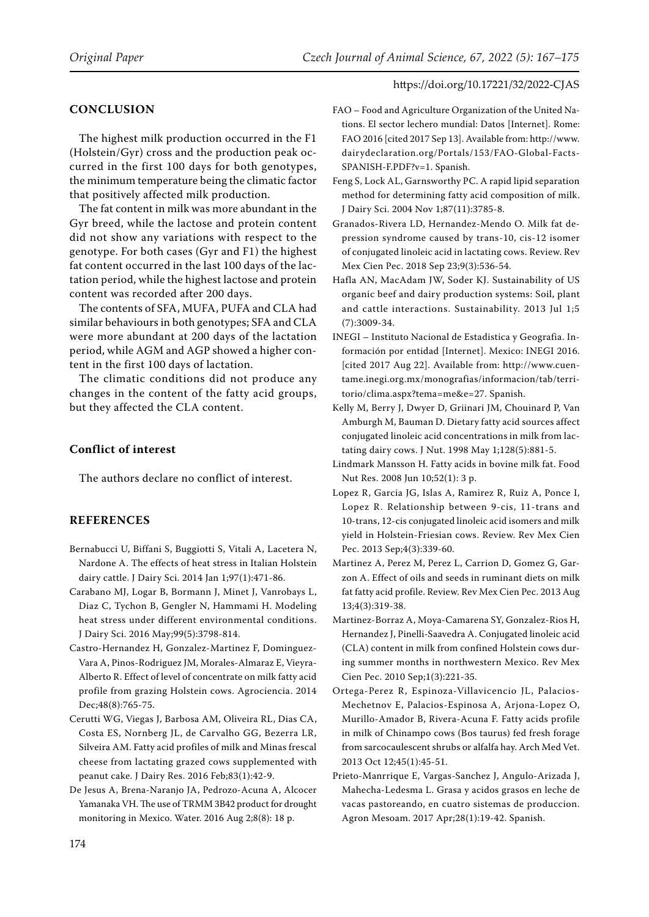## **CONCLUSION**

The highest milk production occurred in the F1 (Holstein/Gyr) cross and the production peak occurred in the first 100 days for both genotypes, the minimum temperature being the climatic factor that positively affected milk production.

The fat content in milk was more abundant in the Gyr breed, while the lactose and protein content did not show any variations with respect to the genotype. For both cases (Gyr and F1) the highest fat content occurred in the last 100 days of the lactation period, while the highest lactose and protein content was recorded after 200 days.

The contents of SFA, MUFA, PUFA and CLA had similar behaviours in both genotypes; SFA and CLA were more abundant at 200 days of the lactation period, while AGM and AGP showed a higher content in the first 100 days of lactation.

The climatic conditions did not produce any changes in the content of the fatty acid groups, but they affected the CLA content.

## **Conflict of interest**

The authors declare no conflict of interest.

# **References**

- <span id="page-7-10"></span>Bernabucci U, Biffani S, Buggiotti S, Vitali A, Lacetera N, Nardone A. The effects of heat stress in Italian Holstein dairy cattle. J Dairy Sci. 2014 Jan 1;97(1):471-86.
- <span id="page-7-11"></span>Carabano MJ, Logar B, Bormann J, Minet J, Vanrobays L, Diaz C, Tychon B, Gengler N, Hammami H. Modeling heat stress under different environmental conditions. J Dairy Sci. 2016 May;99(5):3798-814.
- <span id="page-7-13"></span>Castro-Hernandez H, Gonzalez-Martinez F, Dominguez-Vara A, Pinos-Rodriguez JM, Morales-Almaraz E, Vieyra-Alberto R. Effect of level of concentrate on milk fatty acid profile from grazing Holstein cows. Agrociencia. 2014 Dec;48(8):765-75.
- <span id="page-7-12"></span>Cerutti WG, Viegas J, Barbosa AM, Oliveira RL, Dias CA, Costa ES, Nornberg JL, de Carvalho GG, Bezerra LR, Silveira AM. Fatty acid profiles of milk and Minas frescal cheese from lactating grazed cows supplemented with peanut cake. J Dairy Res. 2016 Feb;83(1):42-9.
- <span id="page-7-6"></span>De Jesus A, Brena-Naranjo JA, Pedrozo-Acuna A, Alcocer Yamanaka VH. The use of TRMM 3B42 product for drought monitoring in Mexico. Water. 2016 Aug 2;8(8): 18 p.
- <span id="page-7-1"></span>FAO – Food and Agriculture Organization of the United Nations. El sector lechero mundial: Datos [Internet]. Rome: FAO 2016 [cited 2017 Sep 13]. Available from: http://www. dairydeclaration.org/Portals/153/FAO-Global-Facts-SPANISH-F.PDF?v=1. Spanish.
- <span id="page-7-8"></span>Feng S, Lock AL, Garnsworthy PC. A rapid lipid separation method for determining fatty acid composition of milk. J Dairy Sci. 2004 Nov 1;87(11):3785-8.
- <span id="page-7-14"></span>Granados-Rivera LD, Hernandez-Mendo O. Milk fat depression syndrome caused by trans-10, cis-12 isomer of conjugated linoleic acid in lactating cows. Review. Rev Mex Cien Pec. 2018 Sep 23;9(3):536-54.
- <span id="page-7-16"></span>Hafla AN, MacAdam JW, Soder KJ. Sustainability of US organic beef and dairy production systems: Soil, plant and cattle interactions. Sustainability. 2013 Jul 1;5 (7):3009-34.
- <span id="page-7-7"></span>INEGI – Instituto Nacional de Estadistica y Geografia. Información por entidad [Internet]. Mexico: INEGI 2016. [cited 2017 Aug 22]. Available from: http://www.cuentame.inegi.org.mx/monografias/informacion/tab/territorio/clima.aspx?tema=me&e=27. Spanish.
- <span id="page-7-15"></span>Kelly M, Berry J, Dwyer D, Griinari JM, Chouinard P, Van Amburgh M, Bauman D. Dietary fatty acid sources affect conjugated linoleic acid concentrations in milk from lactating dairy cows. J Nut. 1998 May 1;128(5):881-5.
- <span id="page-7-0"></span>Lindmark Mansson H. Fatty acids in bovine milk fat. Food Nut Res. 2008 Jun 10;52(1): 3 p.
- <span id="page-7-9"></span>Lopez R, Garcia JG, Islas A, Ramirez R, Ruiz A, Ponce I, Lopez R. Relationship between 9-cis, 11-trans and 10-trans, 12-cis conjugated linoleic acid isomers and milk yield in Holstein-Friesian cows. Review. Rev Mex Cien Pec. 2013 Sep;4(3):339-60.
- <span id="page-7-3"></span>Martinez A, Perez M, Perez L, Carrion D, Gomez G, Garzon A. Effect of oils and seeds in ruminant diets on milk fat fatty acid profile. Review. Rev Mex Cien Pec. 2013 Aug 13;4(3):319-38.
- <span id="page-7-4"></span>Martinez-Borraz A, Moya-Camarena SY, Gonzalez-Rios H, Hernandez J, Pinelli-Saavedra A. Conjugated linoleic acid (CLA) content in milk from confined Holstein cows during summer months in northwestern Mexico. Rev Mex Cien Pec. 2010 Sep;1(3):221-35.
- <span id="page-7-2"></span>Ortega-Perez R, Espinoza-Villavicencio JL, Palacios-Mechetnov E, Palacios-Espinosa A, Arjona-Lopez O, Murillo-Amador B, Rivera-Acuna F. Fatty acids profile in milk of Chinampo cows (Bos taurus) fed fresh forage from sarcocaulescent shrubs or alfalfa hay. Arch Med Vet. 2013 Oct 12;45(1):45-51.
- <span id="page-7-5"></span>Prieto-Manrrique E, Vargas-Sanchez J, Angulo-Arizada J, Mahecha-Ledesma L. Grasa y acidos grasos en leche de vacas pastoreando, en cuatro sistemas de produccion. Agron Mesoam. 2017 Apr;28(1):19-42. Spanish.